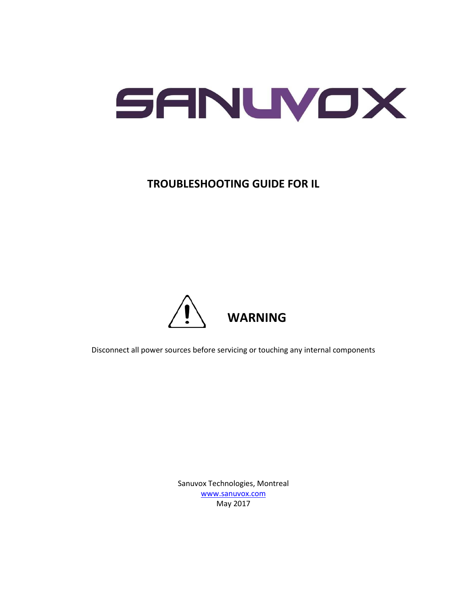

#### **TROUBLESHOOTING GUIDE FOR IL**



Disconnect all power sources before servicing or touching any internal components

Sanuvox Technologies, Montreal www.sanuvox.com May 2017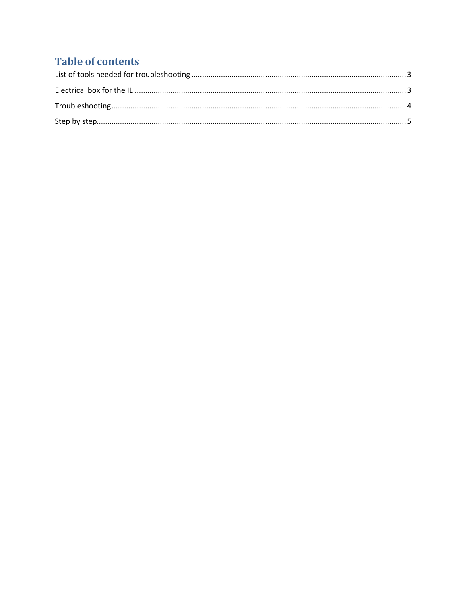### **Table of contents**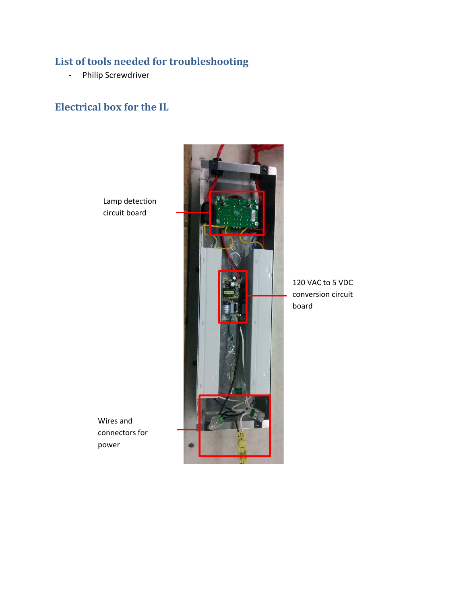# **List of tools needed for troubleshooting**

- Philip Screwdriver

#### **Electrical box for the IL**

Lamp detection circuit board



120 VAC to 5 VDC conversion circuit board

Wires and connectors for power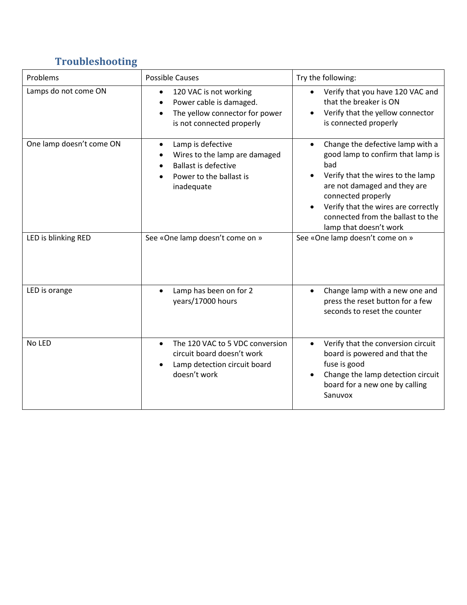# **Troubleshooting**

| Problems                 | <b>Possible Causes</b>                                                                                                                                  | Try the following:                                                                                                                                                                                                                                                                         |
|--------------------------|---------------------------------------------------------------------------------------------------------------------------------------------------------|--------------------------------------------------------------------------------------------------------------------------------------------------------------------------------------------------------------------------------------------------------------------------------------------|
| Lamps do not come ON     | 120 VAC is not working<br>$\bullet$<br>Power cable is damaged.<br>$\bullet$<br>The yellow connector for power<br>$\bullet$<br>is not connected properly | • Verify that you have 120 VAC and<br>that the breaker is ON<br>Verify that the yellow connector<br>is connected properly                                                                                                                                                                  |
| One lamp doesn't come ON | Lamp is defective<br>$\bullet$<br>Wires to the lamp are damaged<br><b>Ballast is defective</b><br>Power to the ballast is<br>inadequate                 | Change the defective lamp with a<br>$\bullet$<br>good lamp to confirm that lamp is<br>bad<br>Verify that the wires to the lamp<br>are not damaged and they are<br>connected properly<br>Verify that the wires are correctly<br>connected from the ballast to the<br>lamp that doesn't work |
| LED is blinking RED      | See «One lamp doesn't come on »                                                                                                                         | See «One lamp doesn't come on »                                                                                                                                                                                                                                                            |
| LED is orange            | Lamp has been on for 2<br>$\bullet$<br>years/17000 hours                                                                                                | Change lamp with a new one and<br>press the reset button for a few<br>seconds to reset the counter                                                                                                                                                                                         |
| No LED                   | The 120 VAC to 5 VDC conversion<br>$\bullet$<br>circuit board doesn't work<br>Lamp detection circuit board<br>doesn't work                              | Verify that the conversion circuit<br>$\bullet$<br>board is powered and that the<br>fuse is good<br>Change the lamp detection circuit<br>board for a new one by calling<br>Sanuvox                                                                                                         |